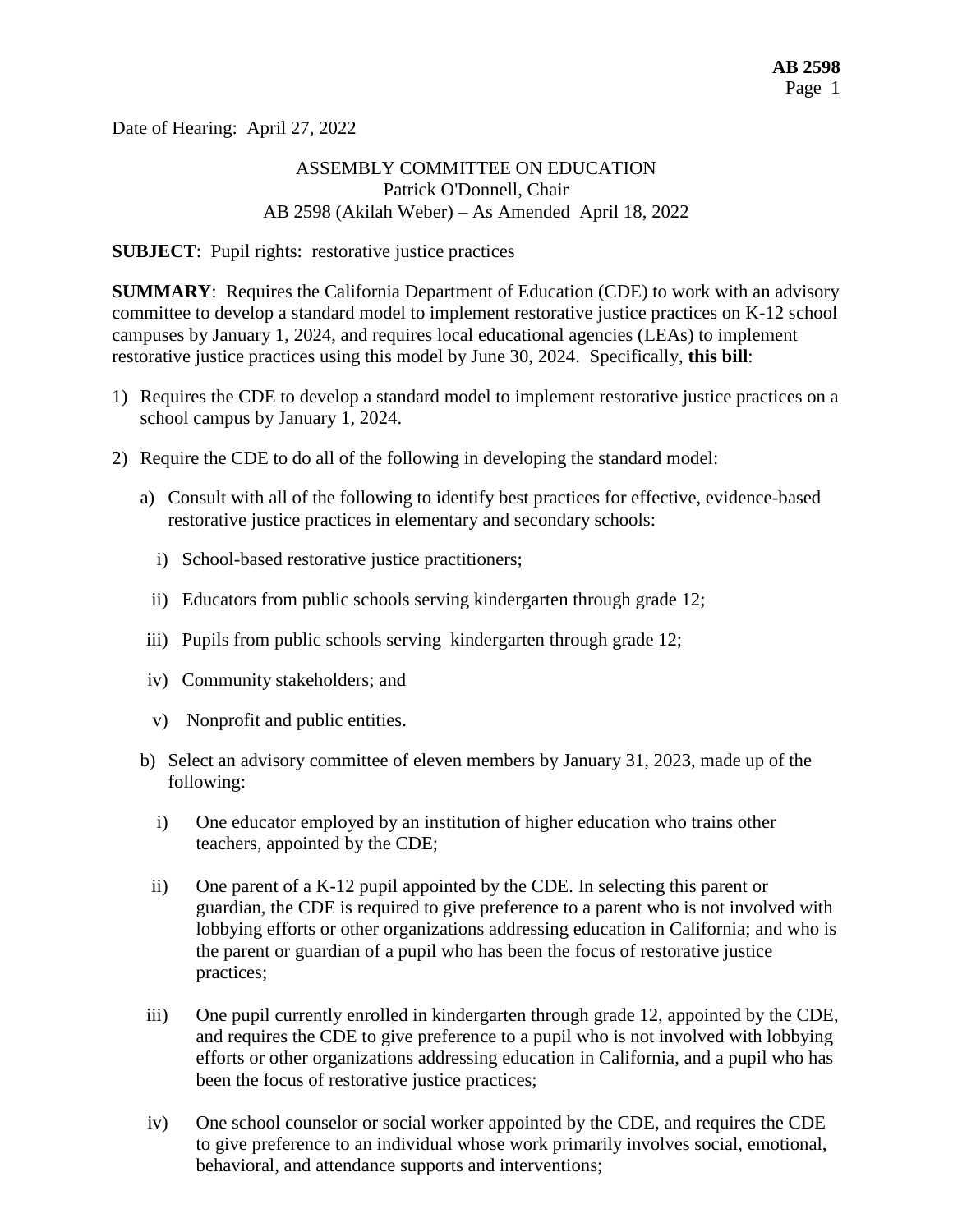Date of Hearing: April 27, 2022

### ASSEMBLY COMMITTEE ON EDUCATION Patrick O'Donnell, Chair AB 2598 (Akilah Weber) – As Amended April 18, 2022

#### **SUBJECT:** Pupil rights: restorative justice practices

**SUMMARY**: Requires the California Department of Education (CDE) to work with an advisory committee to develop a standard model to implement restorative justice practices on K-12 school campuses by January 1, 2024, and requires local educational agencies (LEAs) to implement restorative justice practices using this model by June 30, 2024. Specifically, **this bill**:

- 1) Requires the CDE to develop a standard model to implement restorative justice practices on a school campus by January 1, 2024.
- 2) Require the CDE to do all of the following in developing the standard model:
	- a) Consult with all of the following to identify best practices for effective, evidence-based restorative justice practices in elementary and secondary schools:
		- i) School-based restorative justice practitioners;
	- ii) Educators from public schools serving kindergarten through grade 12;
	- iii) Pupils from public schools serving kindergarten through grade 12;
	- iv) Community stakeholders; and
	- v) Nonprofit and public entities.
	- b) Select an advisory committee of eleven members by January 31, 2023, made up of the following:
		- i) One educator employed by an institution of higher education who trains other teachers, appointed by the CDE;
	- ii) One parent of a K-12 pupil appointed by the CDE. In selecting this parent or guardian, the CDE is required to give preference to a parent who is not involved with lobbying efforts or other organizations addressing education in California; and who is the parent or guardian of a pupil who has been the focus of restorative justice practices;
	- iii) One pupil currently enrolled in kindergarten through grade 12, appointed by the CDE, and requires the CDE to give preference to a pupil who is not involved with lobbying efforts or other organizations addressing education in California, and a pupil who has been the focus of restorative justice practices;
	- iv) One school counselor or social worker appointed by the CDE, and requires the CDE to give preference to an individual whose work primarily involves social, emotional, behavioral, and attendance supports and interventions;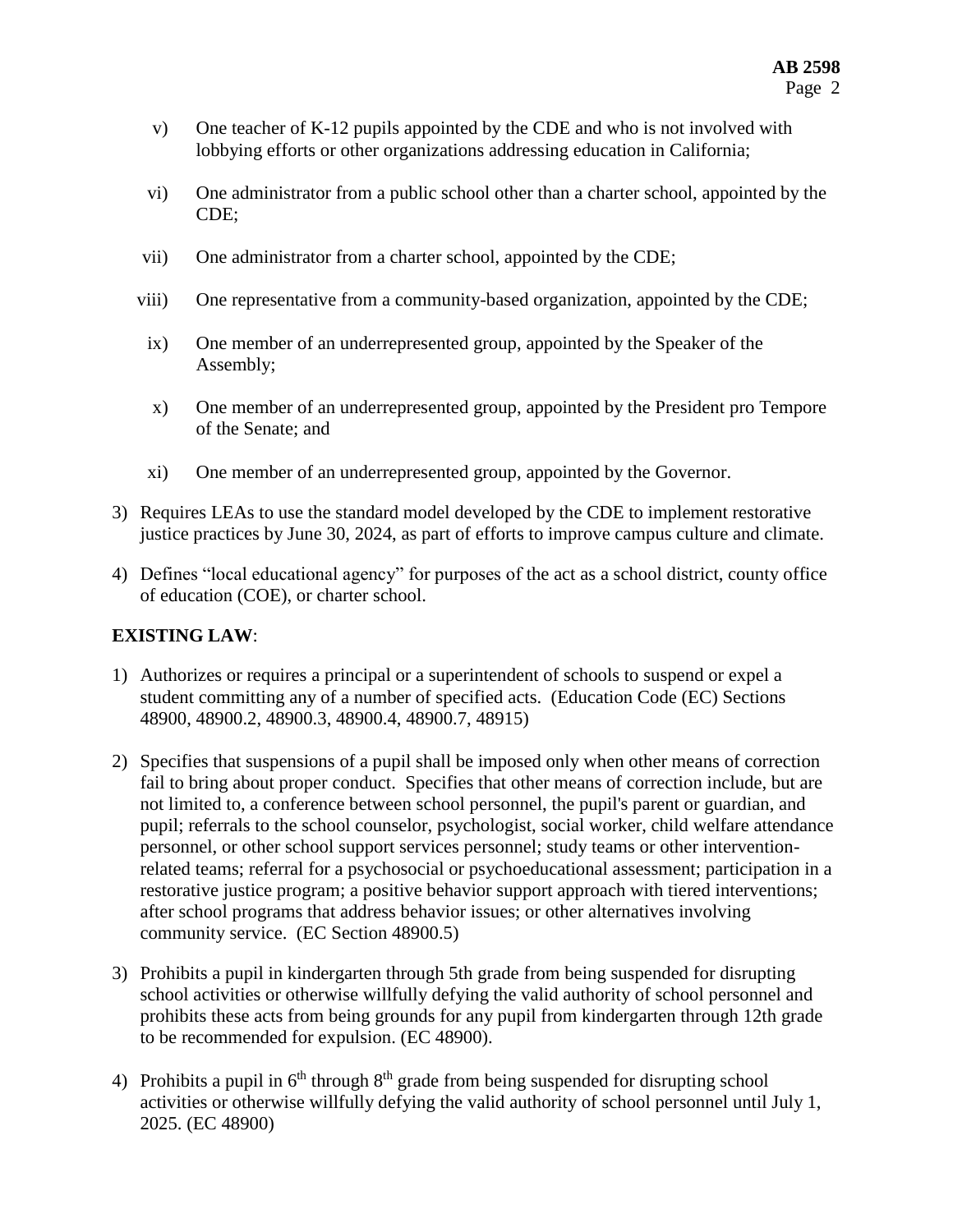- v) One teacher of K-12 pupils appointed by the CDE and who is not involved with lobbying efforts or other organizations addressing education in California;
- vi) One administrator from a public school other than a charter school, appointed by the CDE;
- vii) One administrator from a charter school, appointed by the CDE;
- viii) One representative from a community-based organization, appointed by the CDE;
- ix) One member of an underrepresented group, appointed by the Speaker of the Assembly;
- x) One member of an underrepresented group, appointed by the President pro Tempore of the Senate; and
- xi) One member of an underrepresented group, appointed by the Governor.
- 3) Requires LEAs to use the standard model developed by the CDE to implement restorative justice practices by June 30, 2024, as part of efforts to improve campus culture and climate.
- 4) Defines "local educational agency" for purposes of the act as a school district, county office of education (COE), or charter school.

## **EXISTING LAW**:

- 1) Authorizes or requires a principal or a superintendent of schools to suspend or expel a student committing any of a number of specified acts. (Education Code (EC) Sections 48900, 48900.2, 48900.3, 48900.4, 48900.7, 48915)
- 2) Specifies that suspensions of a pupil shall be imposed only when other means of correction fail to bring about proper conduct. Specifies that other means of correction include, but are not limited to, a conference between school personnel, the pupil's parent or guardian, and pupil; referrals to the school counselor, psychologist, social worker, child welfare attendance personnel, or other school support services personnel; study teams or other interventionrelated teams; referral for a psychosocial or psychoeducational assessment; participation in a restorative justice program; a positive behavior support approach with tiered interventions; after school programs that address behavior issues; or other alternatives involving community service. (EC Section 48900.5)
- 3) Prohibits a pupil in kindergarten through 5th grade from being suspended for disrupting school activities or otherwise willfully defying the valid authority of school personnel and prohibits these acts from being grounds for any pupil from kindergarten through 12th grade to be recommended for expulsion. (EC 48900).
- 4) Prohibits a pupil in  $6<sup>th</sup>$  through  $8<sup>th</sup>$  grade from being suspended for disrupting school activities or otherwise willfully defying the valid authority of school personnel until July 1, 2025. (EC 48900)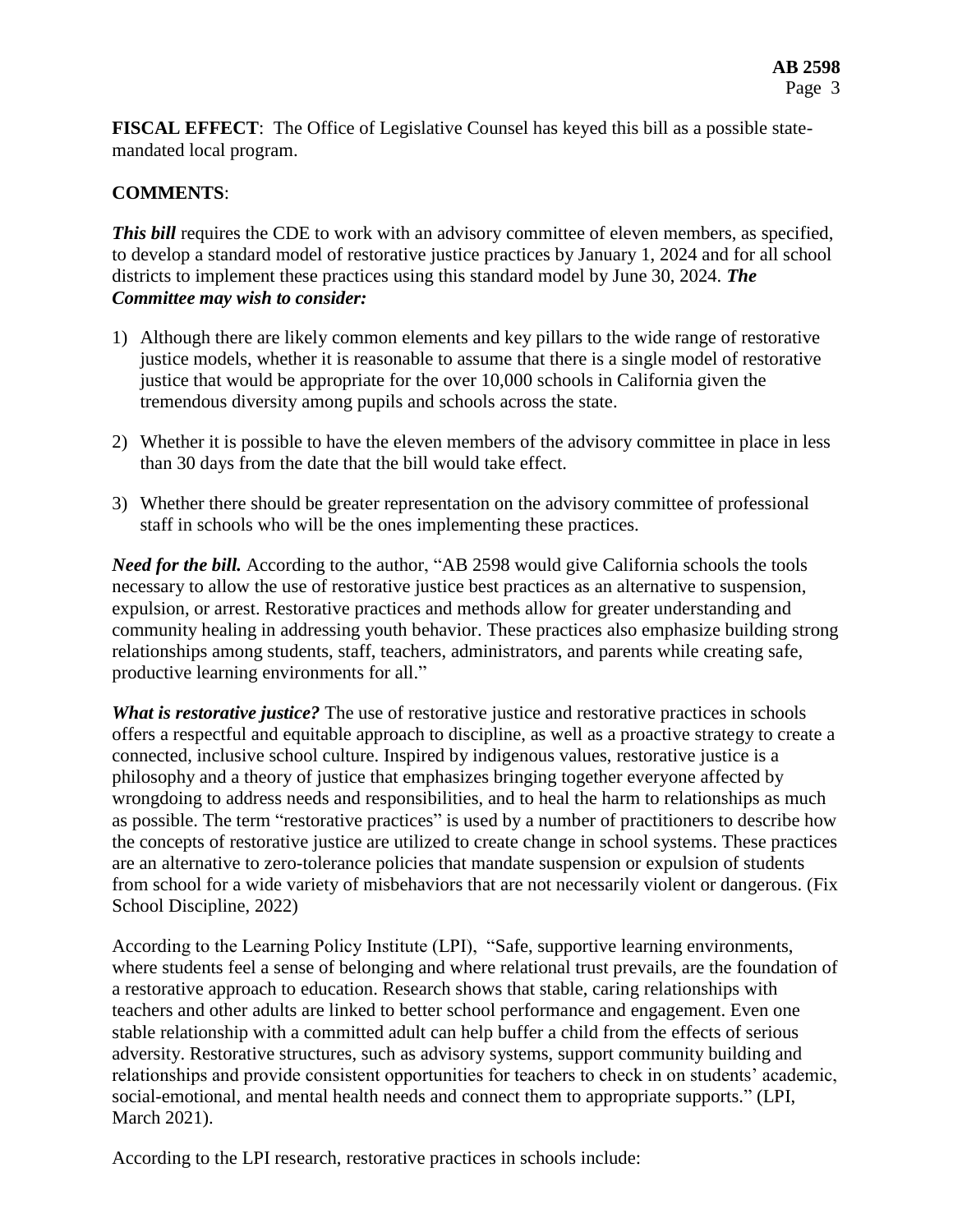**FISCAL EFFECT**: The Office of Legislative Counsel has keyed this bill as a possible statemandated local program.

## **COMMENTS**:

**This bill requires the CDE to work with an advisory committee of eleven members, as specified,** to develop a standard model of restorative justice practices by January 1, 2024 and for all school districts to implement these practices using this standard model by June 30, 2024. *The Committee may wish to consider:*

- 1) Although there are likely common elements and key pillars to the wide range of restorative justice models, whether it is reasonable to assume that there is a single model of restorative justice that would be appropriate for the over 10,000 schools in California given the tremendous diversity among pupils and schools across the state.
- 2) Whether it is possible to have the eleven members of the advisory committee in place in less than 30 days from the date that the bill would take effect.
- 3) Whether there should be greater representation on the advisory committee of professional staff in schools who will be the ones implementing these practices.

*Need for the bill.* According to the author, "AB 2598 would give California schools the tools necessary to allow the use of restorative justice best practices as an alternative to suspension, expulsion, or arrest. Restorative practices and methods allow for greater understanding and community healing in addressing youth behavior. These practices also emphasize building strong relationships among students, staff, teachers, administrators, and parents while creating safe, productive learning environments for all."

*What is restorative justice?* The use of restorative justice and restorative practices in schools offers a respectful and equitable approach to discipline, as well as a proactive strategy to create a connected, inclusive school culture. Inspired by indigenous values, restorative justice is a philosophy and a theory of justice that emphasizes bringing together everyone affected by wrongdoing to address needs and responsibilities, and to heal the harm to relationships as much as possible. The term "restorative practices" is used by a number of practitioners to describe how the concepts of restorative justice are utilized to create change in school systems. These practices are an alternative to zero-tolerance policies that mandate suspension or expulsion of students from school for a wide variety of misbehaviors that are not necessarily violent or dangerous. (Fix School Discipline, 2022)

According to the Learning Policy Institute (LPI), "Safe, supportive learning environments, where students feel a sense of belonging and where relational trust prevails, are the foundation of a restorative approach to education. Research shows that stable, caring relationships with teachers and other adults are linked to better school performance and engagement. Even one stable relationship with a committed adult can help buffer a child from the effects of serious adversity. Restorative structures, such as advisory systems, support community building and relationships and provide consistent opportunities for teachers to check in on students' academic, social-emotional, and mental health needs and connect them to appropriate supports." (LPI, March 2021).

According to the LPI research, restorative practices in schools include: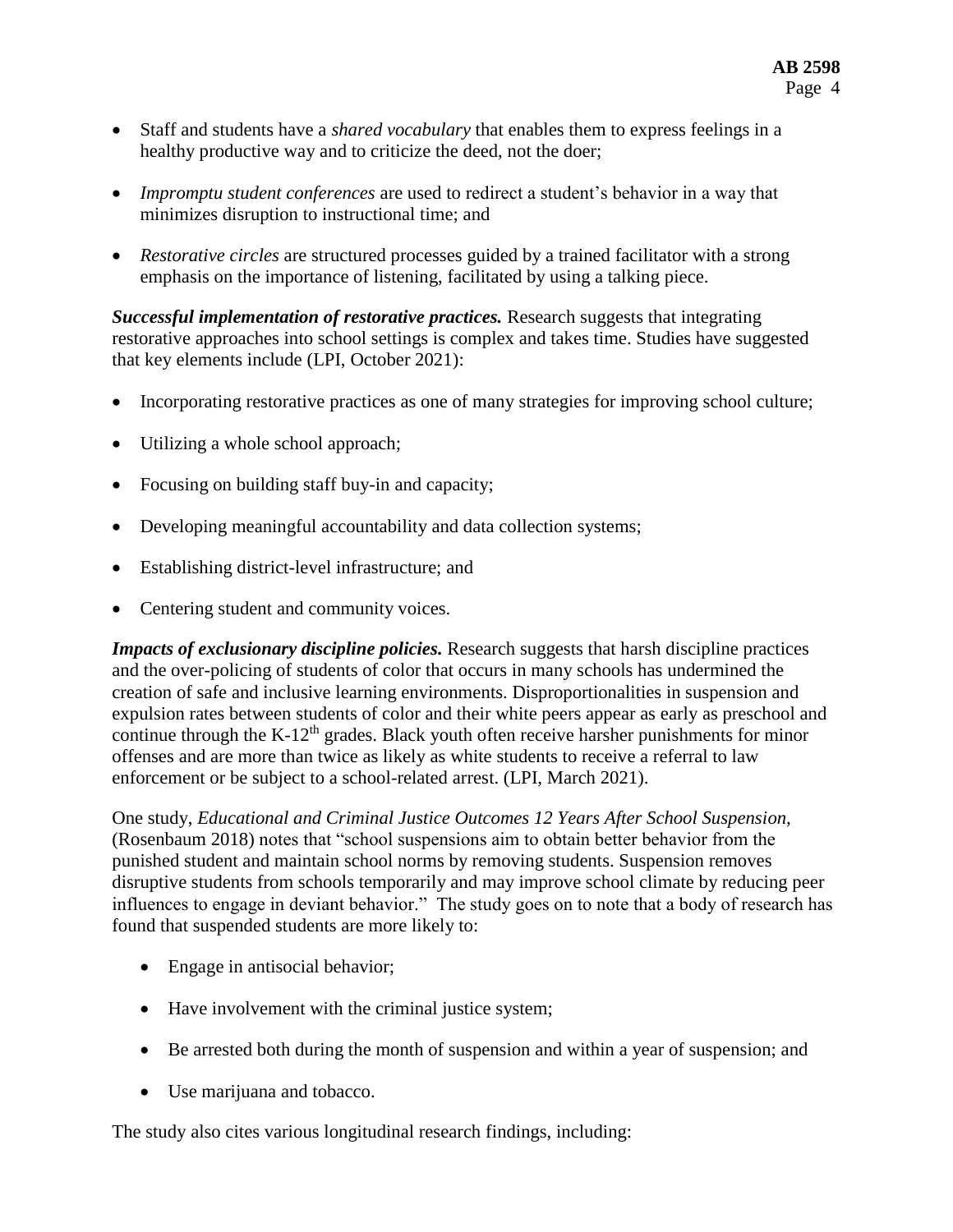- Staff and students have a *shared vocabulary* that enables them to express feelings in a healthy productive way and to criticize the deed, not the doer;
- *Impromptu student conferences* are used to redirect a student's behavior in a way that minimizes disruption to instructional time; and
- *Restorative circles* are structured processes guided by a trained facilitator with a strong emphasis on the importance of listening, facilitated by using a talking piece.

*Successful implementation of restorative practices.* Research suggests that integrating restorative approaches into school settings is complex and takes time. Studies have suggested that key elements include (LPI, October 2021):

- Incorporating restorative practices as one of many strategies for improving school culture;
- Utilizing a whole school approach;
- Focusing on building staff buy-in and capacity;
- Developing meaningful accountability and data collection systems;
- Establishing district-level infrastructure; and
- Centering student and community voices.

*Impacts of exclusionary discipline policies.* Research suggests that harsh discipline practices and the over-policing of students of color that occurs in many schools has undermined the creation of safe and inclusive learning environments. Disproportionalities in suspension and expulsion rates between students of color and their white peers appear as early as preschool and continue through the K-12<sup>th</sup> grades. Black youth often receive harsher punishments for minor offenses and are more than twice as likely as white students to receive a referral to law enforcement or be subject to a school-related arrest. (LPI, March 2021).

One study, *Educational and Criminal Justice Outcomes 12 Years After School Suspension,* (Rosenbaum 2018) notes that "school suspensions aim to obtain better behavior from the punished student and maintain school norms by removing students. Suspension removes disruptive students from schools temporarily and may improve school climate by reducing peer influences to engage in deviant behavior." The study goes on to note that a body of research has found that suspended students are more likely to:

- Engage in antisocial behavior;
- Have involvement with the criminal justice system;
- Be arrested both during the month of suspension and within a year of suspension; and
- Use marijuana and tobacco.

The study also cites various longitudinal research findings, including: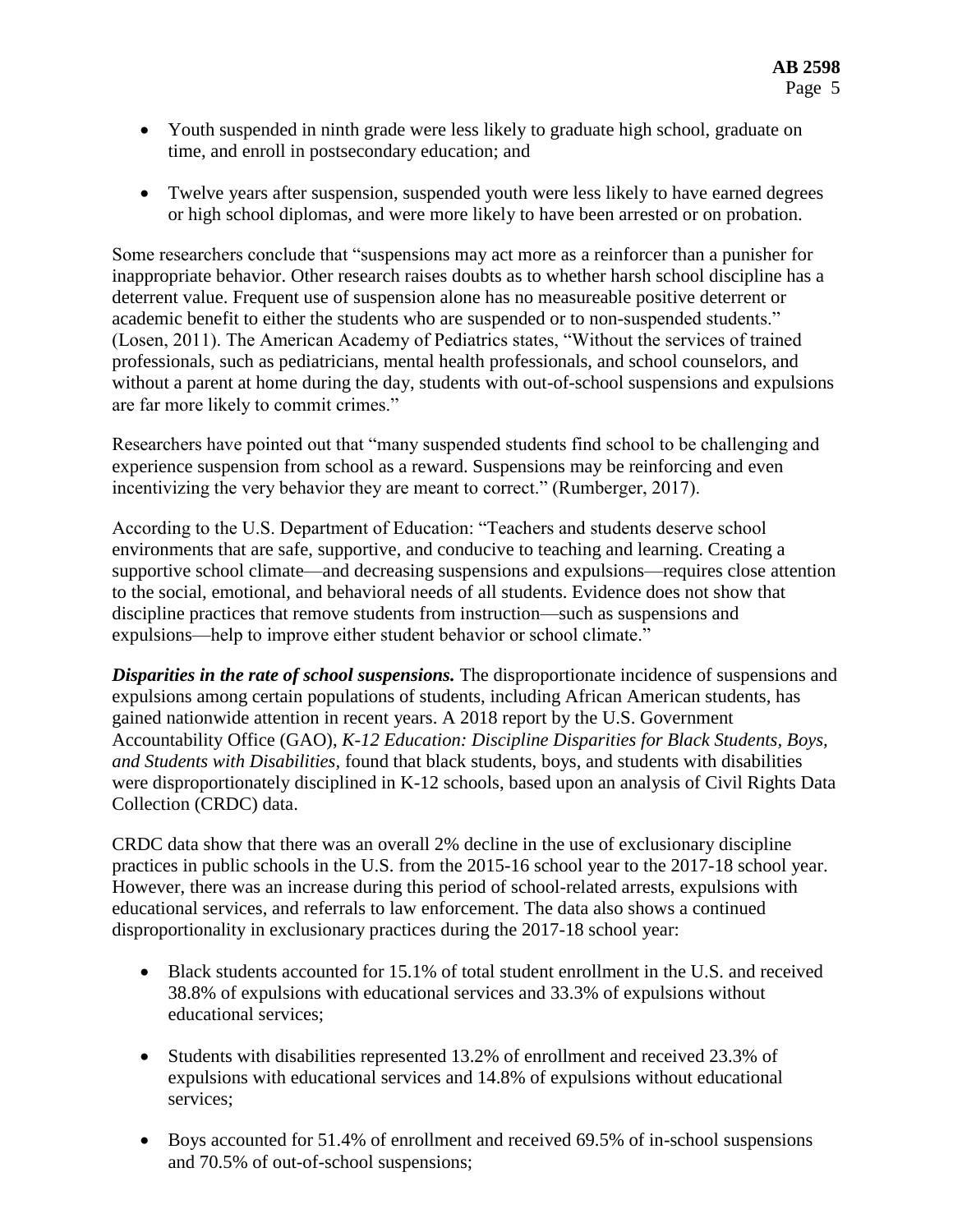- Youth suspended in ninth grade were less likely to graduate high school, graduate on time, and enroll in postsecondary education; and
- Twelve years after suspension, suspended youth were less likely to have earned degrees or high school diplomas, and were more likely to have been arrested or on probation.

Some researchers conclude that "suspensions may act more as a reinforcer than a punisher for inappropriate behavior. Other research raises doubts as to whether harsh school discipline has a deterrent value. Frequent use of suspension alone has no measureable positive deterrent or academic benefit to either the students who are suspended or to non-suspended students." (Losen, 2011). The American Academy of Pediatrics states, "Without the services of trained professionals, such as pediatricians, mental health professionals, and school counselors, and without a parent at home during the day, students with out-of-school suspensions and expulsions are far more likely to commit crimes."

Researchers have pointed out that "many suspended students find school to be challenging and experience suspension from school as a reward. Suspensions may be reinforcing and even incentivizing the very behavior they are meant to correct." (Rumberger, 2017).

According to the U.S. Department of Education: "Teachers and students deserve school environments that are safe, supportive, and conducive to teaching and learning. Creating a supportive school climate—and decreasing suspensions and expulsions—requires close attention to the social, emotional, and behavioral needs of all students. Evidence does not show that discipline practices that remove students from instruction—such as suspensions and expulsions—help to improve either student behavior or school climate."

*Disparities in the rate of school suspensions.* The disproportionate incidence of suspensions and expulsions among certain populations of students, including African American students, has gained nationwide attention in recent years. A 2018 report by the U.S. Government Accountability Office (GAO), *K-12 Education: Discipline Disparities for Black Students, Boys, and Students with Disabilities,* found that black students, boys, and students with disabilities were disproportionately disciplined in K-12 schools, based upon an analysis of Civil Rights Data Collection (CRDC) data.

CRDC data show that there was an overall 2% decline in the use of exclusionary discipline practices in public schools in the U.S. from the 2015-16 school year to the 2017-18 school year. However, there was an increase during this period of school-related arrests, expulsions with educational services, and referrals to law enforcement. The data also shows a continued disproportionality in exclusionary practices during the 2017-18 school year:

- Black students accounted for 15.1% of total student enrollment in the U.S. and received 38.8% of expulsions with educational services and 33.3% of expulsions without educational services;
- Students with disabilities represented 13.2% of enrollment and received 23.3% of expulsions with educational services and 14.8% of expulsions without educational services;
- Boys accounted for 51.4% of enrollment and received 69.5% of in-school suspensions and 70.5% of out-of-school suspensions;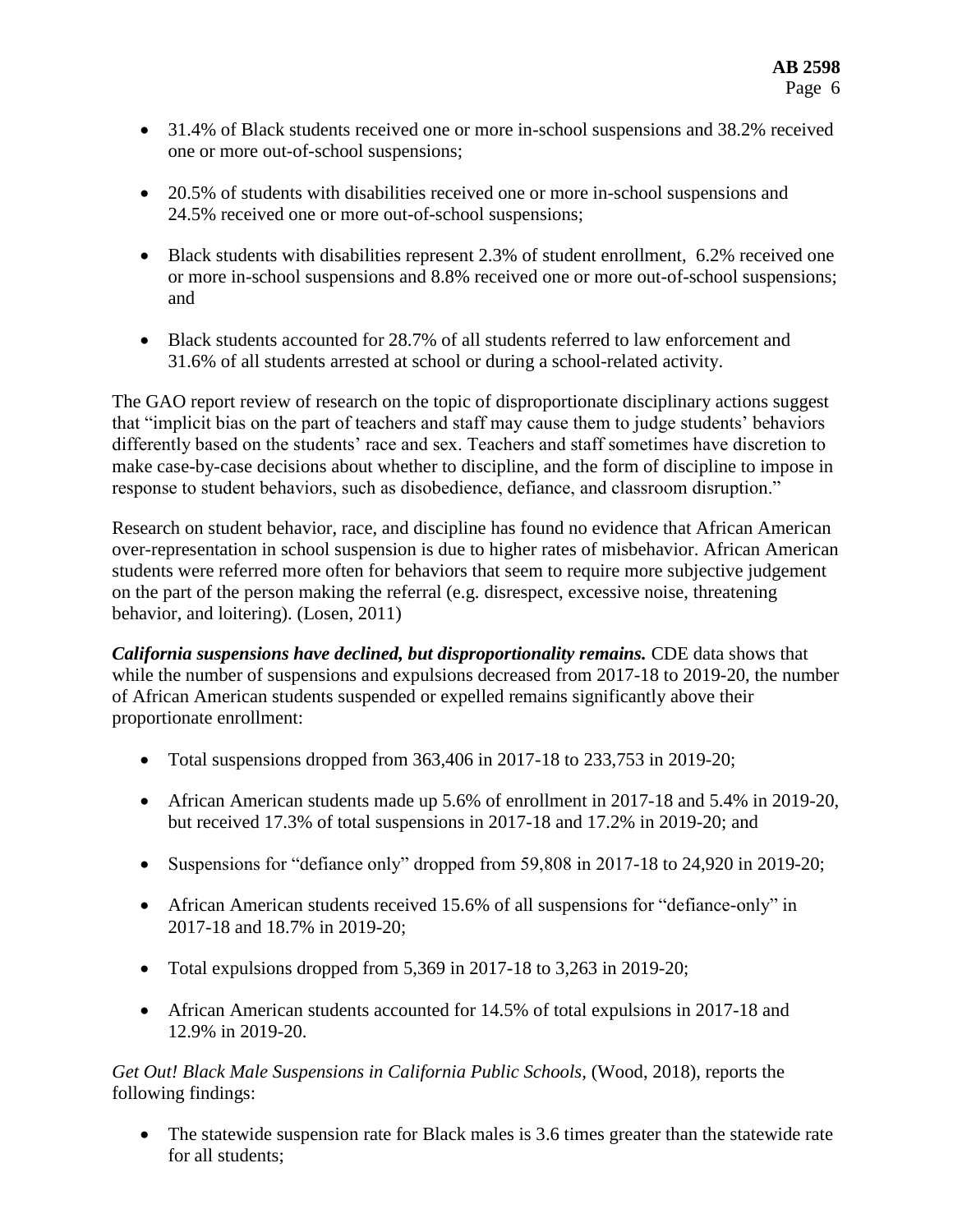- 31.4% of Black students received one or more in-school suspensions and 38.2% received one or more out-of-school suspensions;
- 20.5% of students with disabilities received one or more in-school suspensions and 24.5% received one or more out-of-school suspensions;
- Black students with disabilities represent 2.3% of student enrollment, 6.2% received one or more in-school suspensions and 8.8% received one or more out-of-school suspensions; and
- Black students accounted for 28.7% of all students referred to law enforcement and 31.6% of all students arrested at school or during a school-related activity.

The GAO report review of research on the topic of disproportionate disciplinary actions suggest that "implicit bias on the part of teachers and staff may cause them to judge students' behaviors differently based on the students' race and sex. Teachers and staff sometimes have discretion to make case-by-case decisions about whether to discipline, and the form of discipline to impose in response to student behaviors, such as disobedience, defiance, and classroom disruption."

Research on student behavior, race, and discipline has found no evidence that African American over-representation in school suspension is due to higher rates of misbehavior. African American students were referred more often for behaviors that seem to require more subjective judgement on the part of the person making the referral (e.g. disrespect, excessive noise, threatening behavior, and loitering). (Losen, 2011)

*California suspensions have declined, but disproportionality remains.* CDE data shows that while the number of suspensions and expulsions decreased from 2017-18 to 2019-20, the number of African American students suspended or expelled remains significantly above their proportionate enrollment:

- Total suspensions dropped from  $363,406$  in 2017-18 to 233,753 in 2019-20;
- African American students made up 5.6% of enrollment in 2017-18 and 5.4% in 2019-20, but received 17.3% of total suspensions in 2017-18 and 17.2% in 2019-20; and
- Suspensions for "defiance only" dropped from 59,808 in 2017-18 to 24,920 in 2019-20;
- African American students received 15.6% of all suspensions for "defiance-only" in 2017-18 and 18.7% in 2019-20;
- Total expulsions dropped from  $5,369$  in 2017-18 to  $3,263$  in 2019-20;
- African American students accounted for 14.5% of total expulsions in 2017-18 and 12.9% in 2019-20.

*Get Out! Black Male Suspensions in California Public Schools,* (Wood, 2018), reports the following findings:

• The statewide suspension rate for Black males is 3.6 times greater than the statewide rate for all students;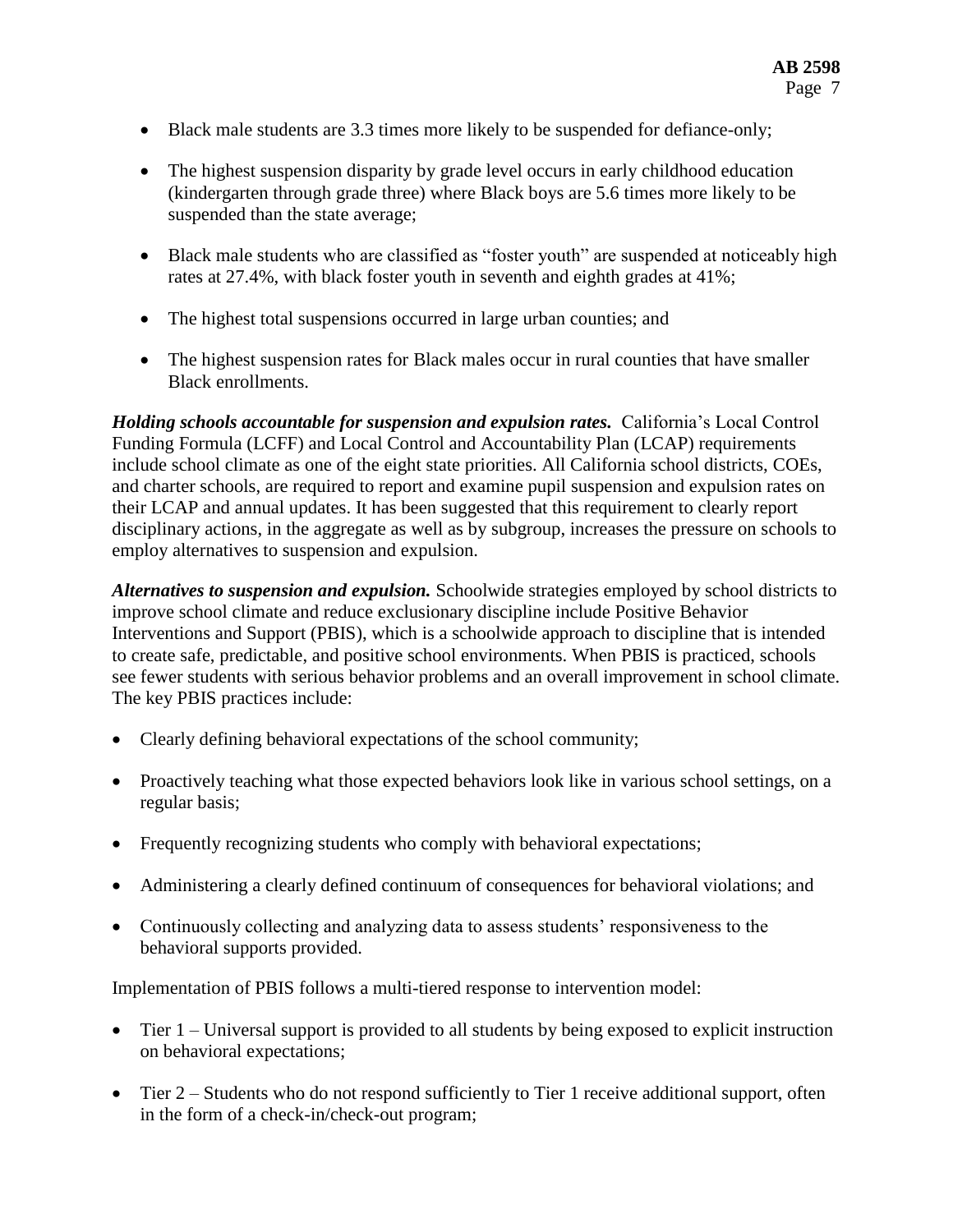- Black male students are 3.3 times more likely to be suspended for defiance-only;
- The highest suspension disparity by grade level occurs in early childhood education (kindergarten through grade three) where Black boys are 5.6 times more likely to be suspended than the state average;
- Black male students who are classified as "foster youth" are suspended at noticeably high rates at 27.4%, with black foster youth in seventh and eighth grades at 41%;
- The highest total suspensions occurred in large urban counties; and
- The highest suspension rates for Black males occur in rural counties that have smaller Black enrollments.

*Holding schools accountable for suspension and expulsion rates.* California's Local Control Funding Formula (LCFF) and Local Control and Accountability Plan (LCAP) requirements include school climate as one of the eight state priorities. All California school districts, COEs, and charter schools, are required to report and examine pupil suspension and expulsion rates on their LCAP and annual updates. It has been suggested that this requirement to clearly report disciplinary actions, in the aggregate as well as by subgroup, increases the pressure on schools to employ alternatives to suspension and expulsion.

*Alternatives to suspension and expulsion.* Schoolwide strategies employed by school districts to improve school climate and reduce exclusionary discipline include Positive Behavior Interventions and Support (PBIS), which is a schoolwide approach to discipline that is intended to create safe, predictable, and positive school environments. When PBIS is practiced, schools see fewer students with serious behavior problems and an overall improvement in school climate. The key PBIS practices include:

- Clearly defining behavioral expectations of the school community;
- Proactively teaching what those expected behaviors look like in various school settings, on a regular basis;
- Frequently recognizing students who comply with behavioral expectations;
- Administering a clearly defined continuum of consequences for behavioral violations; and
- Continuously collecting and analyzing data to assess students' responsiveness to the behavioral supports provided.

Implementation of PBIS follows a multi-tiered response to intervention model:

- Tier 1 Universal support is provided to all students by being exposed to explicit instruction on behavioral expectations;
- Tier 2 Students who do not respond sufficiently to Tier 1 receive additional support, often in the form of a check-in/check-out program;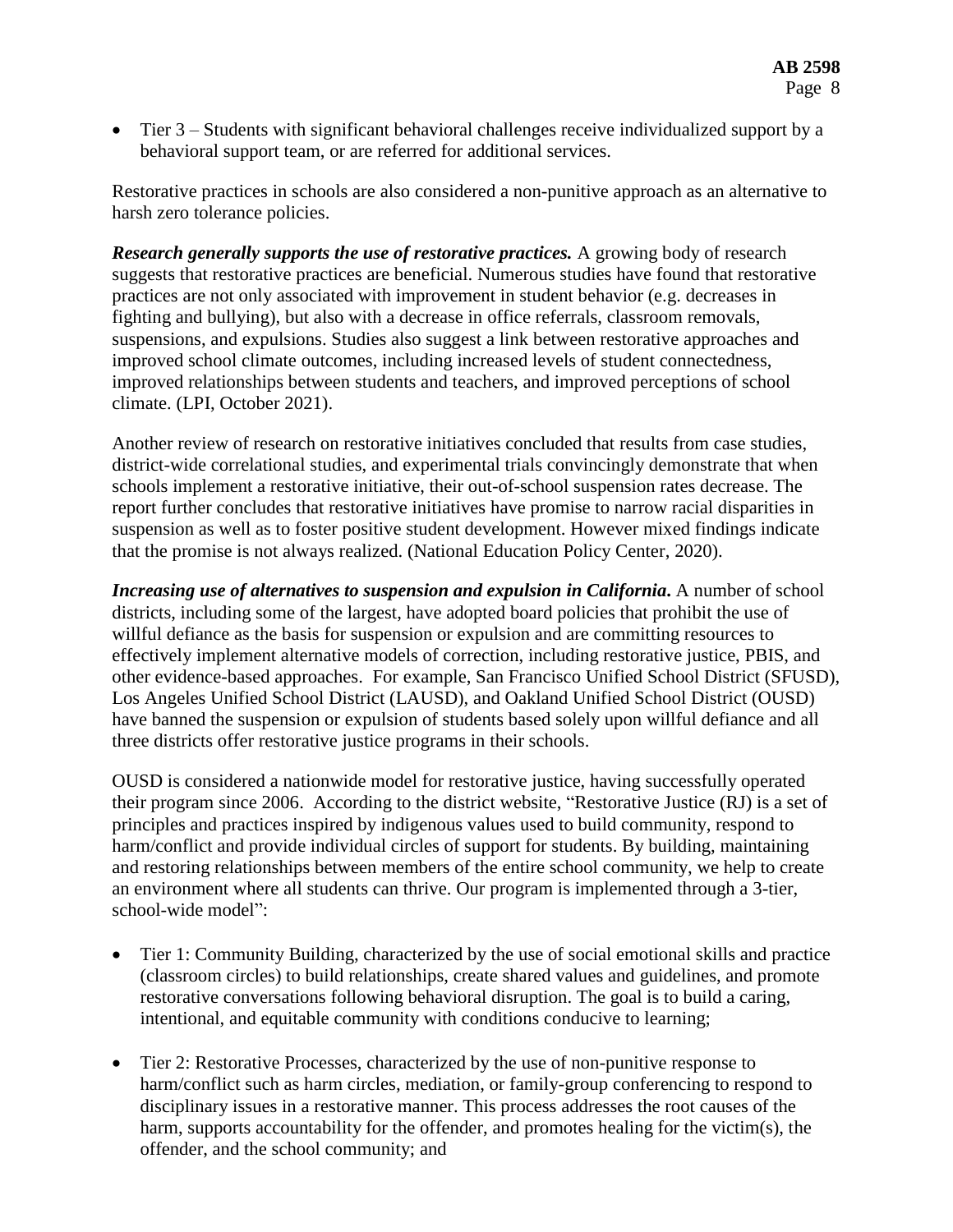• Tier 3 – Students with significant behavioral challenges receive individualized support by a behavioral support team, or are referred for additional services.

Restorative practices in schools are also considered a non-punitive approach as an alternative to harsh zero tolerance policies.

*Research generally supports the use of restorative practices.* A growing body of research suggests that restorative practices are beneficial. Numerous studies have found that restorative practices are not only associated with improvement in student behavior (e.g. decreases in fighting and bullying), but also with a decrease in office referrals, classroom removals, suspensions, and expulsions. Studies also suggest a link between restorative approaches and improved school climate outcomes, including increased levels of student connectedness, improved relationships between students and teachers, and improved perceptions of school climate. (LPI, October 2021).

Another review of research on restorative initiatives concluded that results from case studies, district-wide correlational studies, and experimental trials convincingly demonstrate that when schools implement a restorative initiative, their out-of-school suspension rates decrease. The report further concludes that restorative initiatives have promise to narrow racial disparities in suspension as well as to foster positive student development. However mixed findings indicate that the promise is not always realized. (National Education Policy Center, 2020).

*Increasing use of alternatives to suspension and expulsion in California***.** A number of school districts, including some of the largest, have adopted board policies that prohibit the use of willful defiance as the basis for suspension or expulsion and are committing resources to effectively implement alternative models of correction, including restorative justice, PBIS, and other evidence-based approaches. For example, San Francisco Unified School District (SFUSD), Los Angeles Unified School District (LAUSD), and Oakland Unified School District (OUSD) have banned the suspension or expulsion of students based solely upon willful defiance and all three districts offer restorative justice programs in their schools.

OUSD is considered a nationwide model for restorative justice, having successfully operated their program since 2006. According to the district website, "Restorative Justice (RJ) is a set of principles and practices inspired by indigenous values used to build community, respond to harm/conflict and provide individual circles of support for students. By building, maintaining and restoring relationships between members of the entire school community, we help to create an environment where all students can thrive. Our program is implemented through a 3-tier, school-wide model":

- Tier 1: Community Building, characterized by the use of social emotional skills and practice (classroom circles) to build relationships, create shared values and guidelines, and promote restorative conversations following behavioral disruption. The goal is to build a caring, intentional, and equitable community with conditions conducive to learning;
- Tier 2: Restorative Processes, characterized by the use of non-punitive response to harm/conflict such as harm circles, mediation, or family-group conferencing to respond to disciplinary issues in a restorative manner. This process addresses the root causes of the harm, supports accountability for the offender, and promotes healing for the victim(s), the offender, and the school community; and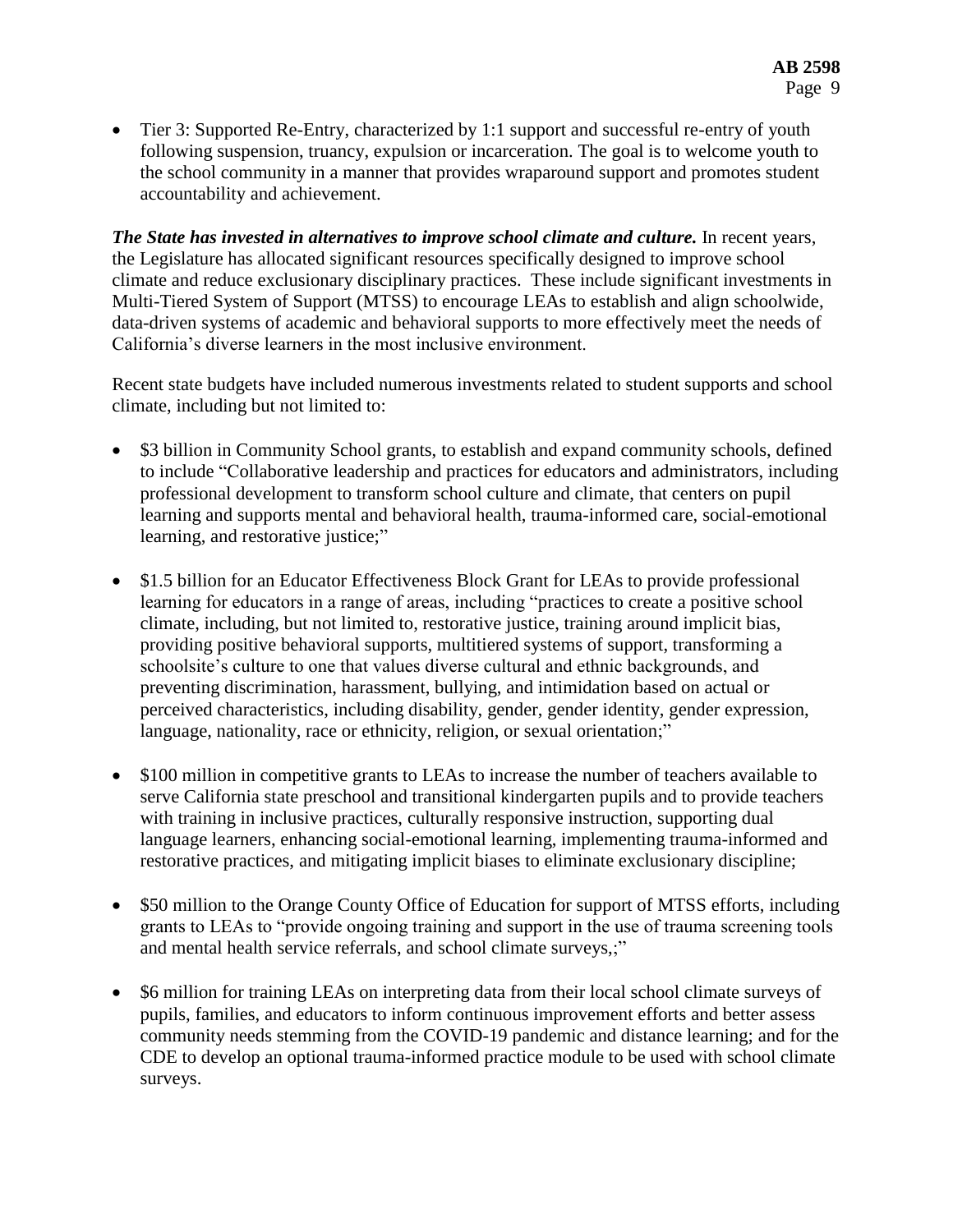Tier 3: Supported Re-Entry, characterized by 1:1 support and successful re-entry of youth following suspension, truancy, expulsion or incarceration. The goal is to welcome youth to the school community in a manner that provides wraparound support and promotes student accountability and achievement.

*The State has invested in alternatives to improve school climate and culture.* In recent years, the Legislature has allocated significant resources specifically designed to improve school climate and reduce exclusionary disciplinary practices. These include significant investments in Multi-Tiered System of Support (MTSS) to encourage LEAs to establish and align schoolwide, data-driven systems of academic and behavioral supports to more effectively meet the needs of California's diverse learners in the most inclusive environment.

Recent state budgets have included numerous investments related to student supports and school climate, including but not limited to:

- \$3 billion in Community School grants, to establish and expand community schools, defined to include "Collaborative leadership and practices for educators and administrators, including professional development to transform school culture and climate, that centers on pupil learning and supports mental and behavioral health, trauma-informed care, social-emotional learning, and restorative justice;"
- \$1.5 billion for an Educator Effectiveness Block Grant for LEAs to provide professional learning for educators in a range of areas, including "practices to create a positive school climate, including, but not limited to, restorative justice, training around implicit bias, providing positive behavioral supports, multitiered systems of support, transforming a schoolsite's culture to one that values diverse cultural and ethnic backgrounds, and preventing discrimination, harassment, bullying, and intimidation based on actual or perceived characteristics, including disability, gender, gender identity, gender expression, language, nationality, race or ethnicity, religion, or sexual orientation;"
- \$100 million in competitive grants to LEAs to increase the number of teachers available to serve California state preschool and transitional kindergarten pupils and to provide teachers with training in inclusive practices, culturally responsive instruction, supporting dual language learners, enhancing social-emotional learning, implementing trauma-informed and restorative practices, and mitigating implicit biases to eliminate exclusionary discipline;
- \$50 million to the Orange County Office of Education for support of MTSS efforts, including grants to LEAs to "provide ongoing training and support in the use of trauma screening tools and mental health service referrals, and school climate surveys,;"
- \$6 million for training LEAs on interpreting data from their local school climate surveys of pupils, families, and educators to inform continuous improvement efforts and better assess community needs stemming from the COVID-19 pandemic and distance learning; and for the CDE to develop an optional trauma-informed practice module to be used with school climate surveys.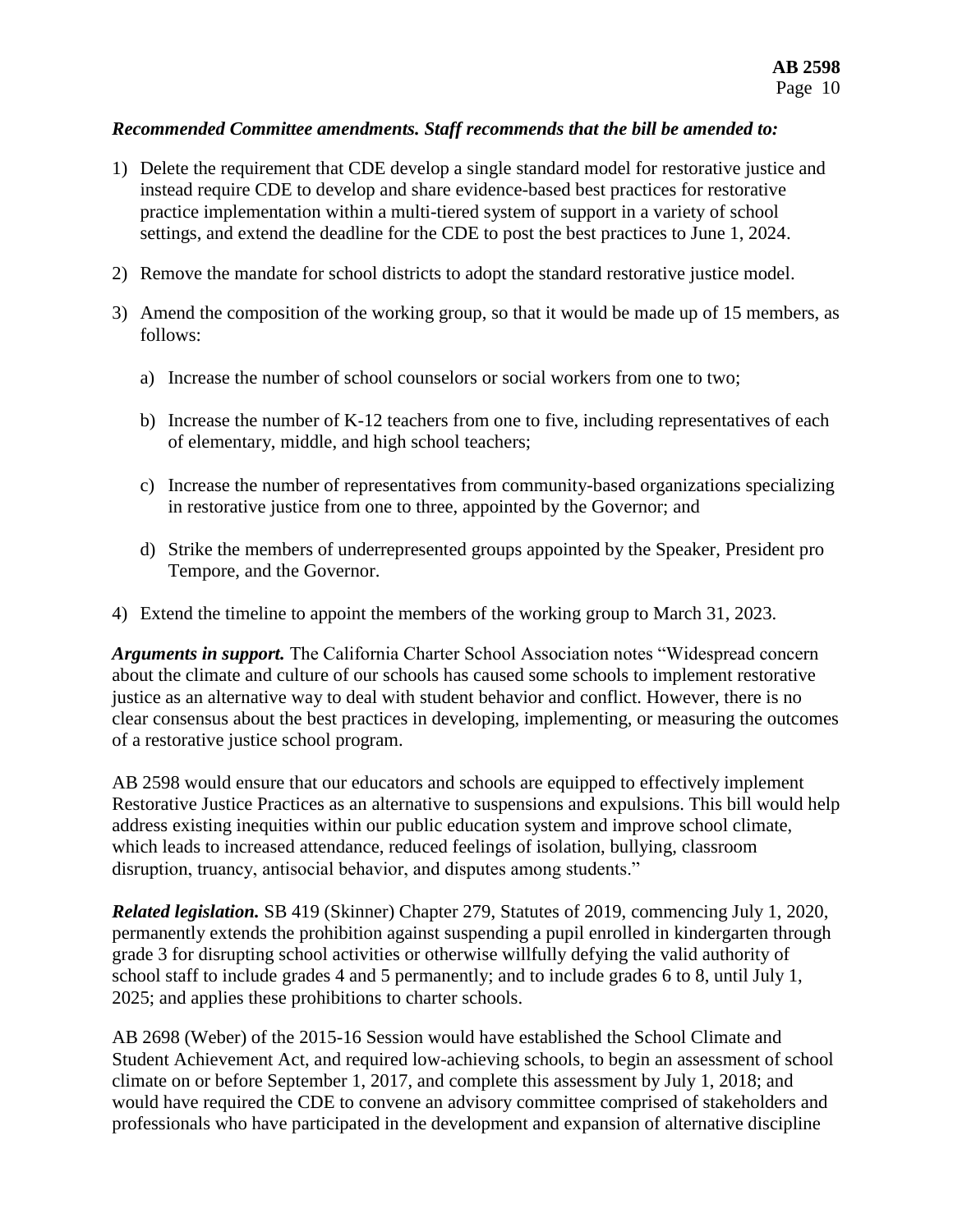### *Recommended Committee amendments. Staff recommends that the bill be amended to:*

- 1) Delete the requirement that CDE develop a single standard model for restorative justice and instead require CDE to develop and share evidence-based best practices for restorative practice implementation within a multi-tiered system of support in a variety of school settings, and extend the deadline for the CDE to post the best practices to June 1, 2024.
- 2) Remove the mandate for school districts to adopt the standard restorative justice model.
- 3) Amend the composition of the working group, so that it would be made up of 15 members, as follows:
	- a) Increase the number of school counselors or social workers from one to two;
	- b) Increase the number of K-12 teachers from one to five, including representatives of each of elementary, middle, and high school teachers;
	- c) Increase the number of representatives from community-based organizations specializing in restorative justice from one to three, appointed by the Governor; and
	- d) Strike the members of underrepresented groups appointed by the Speaker, President pro Tempore, and the Governor.
- 4) Extend the timeline to appoint the members of the working group to March 31, 2023.

*Arguments in support.* The California Charter School Association notes "Widespread concern about the climate and culture of our schools has caused some schools to implement restorative justice as an alternative way to deal with student behavior and conflict. However, there is no clear consensus about the best practices in developing, implementing, or measuring the outcomes of a restorative justice school program.

AB 2598 would ensure that our educators and schools are equipped to effectively implement Restorative Justice Practices as an alternative to suspensions and expulsions. This bill would help address existing inequities within our public education system and improve school climate, which leads to increased attendance, reduced feelings of isolation, bullying, classroom disruption, truancy, antisocial behavior, and disputes among students."

*Related legislation.* SB 419 (Skinner) Chapter 279, Statutes of 2019, commencing July 1, 2020, permanently extends the prohibition against suspending a pupil enrolled in kindergarten through grade 3 for disrupting school activities or otherwise willfully defying the valid authority of school staff to include grades 4 and 5 permanently; and to include grades 6 to 8, until July 1, 2025; and applies these prohibitions to charter schools.

AB 2698 (Weber) of the 2015-16 Session would have established the School Climate and Student Achievement Act, and required low-achieving schools, to begin an assessment of school climate on or before September 1, 2017, and complete this assessment by July 1, 2018; and would have required the CDE to convene an advisory committee comprised of stakeholders and professionals who have participated in the development and expansion of alternative discipline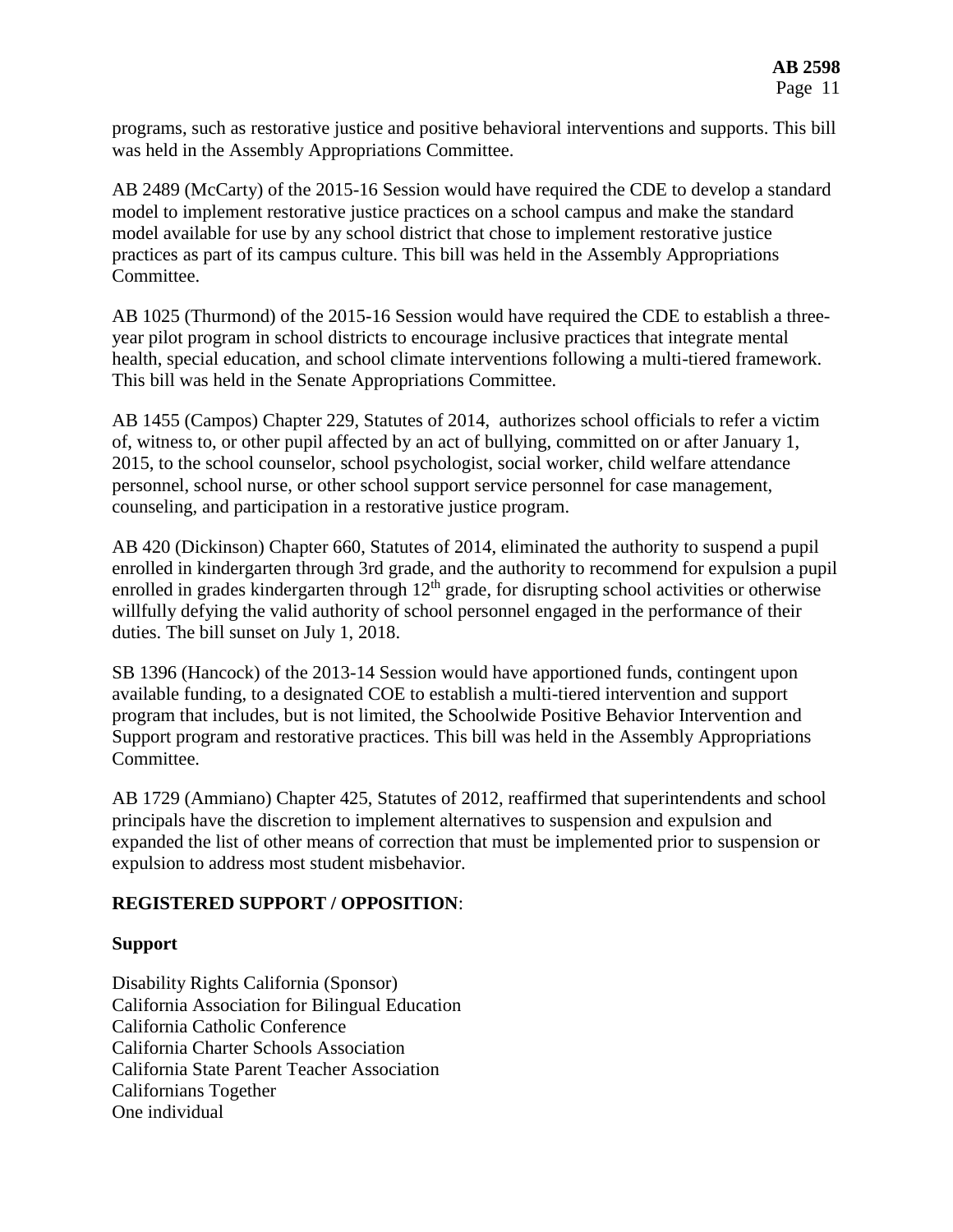programs, such as restorative justice and positive behavioral interventions and supports. This bill was held in the Assembly Appropriations Committee.

AB 2489 (McCarty) of the 2015-16 Session would have required the CDE to develop a standard model to implement restorative justice practices on a school campus and make the standard model available for use by any school district that chose to implement restorative justice practices as part of its campus culture. This bill was held in the Assembly Appropriations Committee.

AB 1025 (Thurmond) of the 2015-16 Session would have required the CDE to establish a threeyear pilot program in school districts to encourage inclusive practices that integrate mental health, special education, and school climate interventions following a multi-tiered framework. This bill was held in the Senate Appropriations Committee.

AB 1455 (Campos) Chapter 229, Statutes of 2014, authorizes school officials to refer a victim of, witness to, or other pupil affected by an act of bullying, committed on or after January 1, 2015, to the school counselor, school psychologist, social worker, child welfare attendance personnel, school nurse, or other school support service personnel for case management, counseling, and participation in a restorative justice program.

AB 420 (Dickinson) Chapter 660, Statutes of 2014, eliminated the authority to suspend a pupil enrolled in kindergarten through 3rd grade, and the authority to recommend for expulsion a pupil enrolled in grades kindergarten through 12<sup>th</sup> grade, for disrupting school activities or otherwise willfully defying the valid authority of school personnel engaged in the performance of their duties. The bill sunset on July 1, 2018.

SB 1396 (Hancock) of the 2013-14 Session would have apportioned funds, contingent upon available funding, to a designated COE to establish a multi-tiered intervention and support program that includes, but is not limited, the Schoolwide Positive Behavior Intervention and Support program and restorative practices. This bill was held in the Assembly Appropriations Committee.

AB 1729 (Ammiano) Chapter 425, Statutes of 2012, reaffirmed that superintendents and school principals have the discretion to implement alternatives to suspension and expulsion and expanded the list of other means of correction that must be implemented prior to suspension or expulsion to address most student misbehavior.

## **REGISTERED SUPPORT / OPPOSITION**:

#### **Support**

Disability Rights California (Sponsor) California Association for Bilingual Education California Catholic Conference California Charter Schools Association California State Parent Teacher Association Californians Together One individual